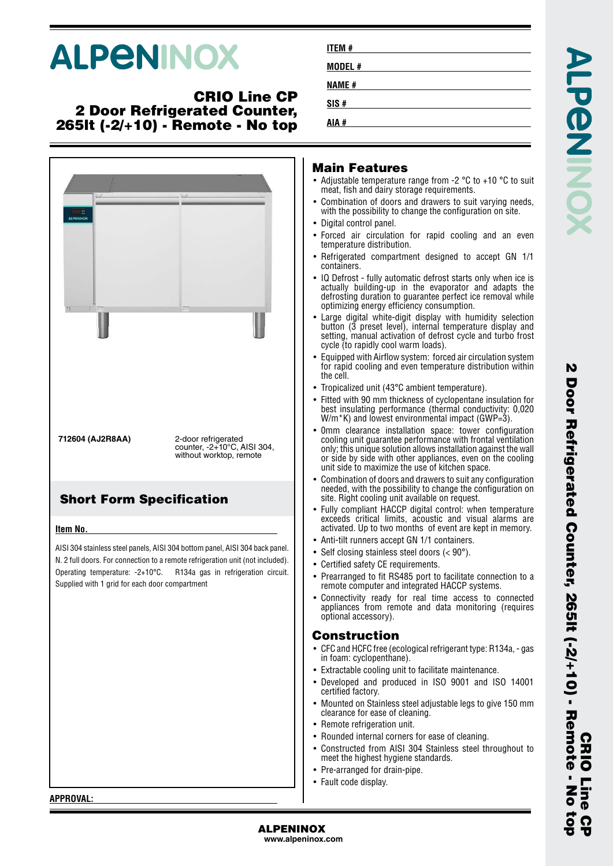# **ALPENINOX**

### **CRIO Line CP 2 Door Refrigerated Counter, 265lt (-2/+10) - Remote - No top**



| ITEM #       |  |  |  |
|--------------|--|--|--|
| MODEL #      |  |  |  |
| <b>NAME#</b> |  |  |  |
| SIS#         |  |  |  |
| AIA #        |  |  |  |

#### **Main Features**

- Adjustable temperature range from -2 °C to +10 °C to suit meat, fish and dairy storage requirements.
- • Combination of doors and drawers to suit varying needs, with the possibility to change the configuration on site.
- Digital control panel.
- • Forced air circulation for rapid cooling and an even temperature distribution.
- Refrigerated compartment designed to accept GN 1/1 containers.
- IQ Defrost fully automatic defrost starts only when ice is actually building-up in the evaporator and adapts the defrosting duration to guarantee perfect ice removal while optimizing energy efficiency consumption.
- • Large digital white-digit display with humidity selection button (3 preset level), internal temperature display and setting, manual activation of defrost cycle and turbo frost cycle (to rapidly cool warm loads).
- • Equipped with Airflow system: forced air circulation system for rapid cooling and even temperature distribution within the cell.
- Tropicalized unit (43°C ambient temperature).
- • Fitted with 90 mm thickness of cyclopentane insulation for best insulating performance (thermal conductivity: 0,020 W/m<sup>\*</sup>K) and lowest environmental impact (GWP=3).
- 0mm clearance installation space: tower configuration cooling unit guarantee performance with frontal ventilation only; this unique solution allows installation against the wall or side by side with other appliances, even on the cooling unit side to maximize the use of kitchen space.
- • Combination of doors and drawers to suit any configuration needed, with the possibility to change the configuration on site. Right cooling unit available on request.
- • Fully compliant HACCP digital control: when temperature exceeds critical limits, acoustic and visual alarms are activated. Up to two months of event are kept in memory.
- •Anti-tilt runners accept GN 1/1 containers.
- Self closing stainless steel doors (< 90°).
- Certified safety CE requirements.
- • Prearranged to fit RS485 port to facilitate connection to a remote computer and integrated HACCP systems.
- • Connectivity ready for real time access to connected appliances from remote and data monitoring (requires optional accessory).

#### **Construction**

- CFC and HCFC free (ecological refrigerant type: R134a, gas in foam: cyclopenthane).
- Extractable cooling unit to facilitate maintenance.
- Developed and produced in ISO 9001 and ISO 14001 certified factory.
- Mounted on Stainless steel adjustable legs to give 150 mm clearance for ease of cleaning.
- Remote refrigeration unit.
- Rounded internal corners for ease of cleaning.
- Constructed from AISI 304 Stainless steel throughout to meet the highest hygiene standards.
- Pre-arranged for drain-pipe.
- Fault code display.

**APPROVAL:**

**ALPENINOX www.alpeninox.com**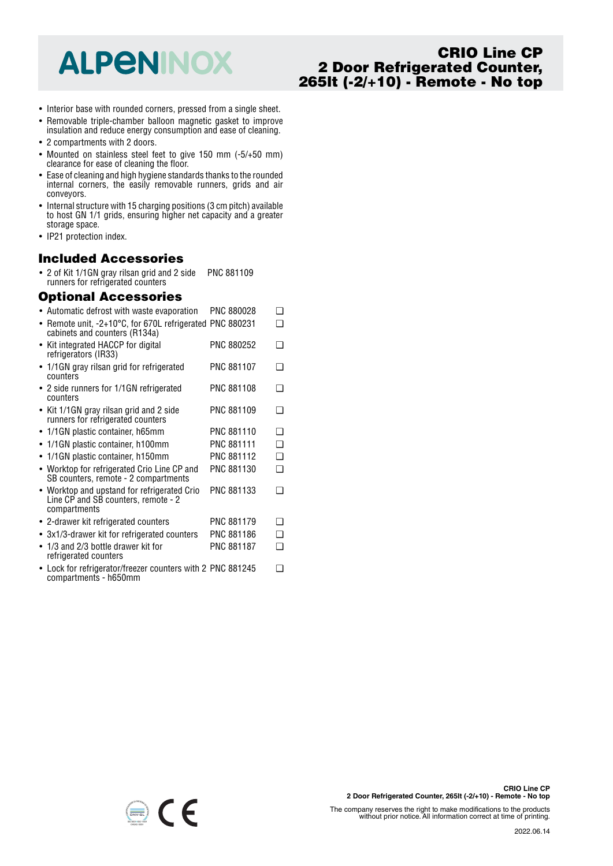# **ALPENINOX**

# **CRIO Line CP 2 Door Refrigerated Counter, 265lt (-2/+10) - Remote - No top**

- Interior base with rounded corners, pressed from a single sheet.
- Removable triple-chamber balloon magnetic gasket to improve insulation and reduce energy consumption and ease of cleaning.
- 2 compartments with 2 doors.
- Mounted on stainless steel feet to give 150 mm (-5/+50 mm) clearance for ease of cleaning the floor.
- Ease of cleaning and high hygiene standards thanks to the rounded internal corners, the easily removable runners, grids and air conveyors.
- Internal structure with 15 charging positions (3 cm pitch) available to host GN 1/1 grids, ensuring higher net capacity and a greater storage space.
- IP21 protection index.

#### **Included Accessories**

• 2 of Kit 1/1GN gray rilsan grid and 2 side PNC 881109 runners for refrigerated counters

#### **Optional Accessories**

| • Automatic defrost with waste evaporation                                                         | <b>PNC 880028</b> | ❏        |
|----------------------------------------------------------------------------------------------------|-------------------|----------|
| Remote unit, -2+10°C, for 670L refrigerated PNC 880231<br>cabinets and counters (R134a)            |                   | ר        |
| • Kit integrated HACCP for digital<br>refrigerators (IR33)                                         | PNC 880252        | ∩        |
| • 1/1GN gray rilsan grid for refrigerated<br>counters                                              | <b>PNC 881107</b> | ∩        |
| • 2 side runners for 1/1GN refrigerated<br>counters                                                | PNC 881108        | ∩        |
| • Kit 1/1GN gray rilsan grid and 2 side<br>runners for refrigerated counters                       | PNC 881109        | ∩        |
| • 1/1GN plastic container, h65mm                                                                   | PNC 881110        | ❏        |
| 1/1GN plastic container, h100mm                                                                    | PNC 881111        | ∩        |
| • 1/1GN plastic container, h150mm                                                                  | PNC 881112        | ◻        |
| • Worktop for refrigerated Crio Line CP and<br>SB counters, remote - 2 compartments                | PNC 881130        | ∩        |
| • Worktop and upstand for refrigerated Crio<br>Line CP and SB counters, remote - 2<br>compartments | PNC 881133        | ∩        |
| • 2-drawer kit refrigerated counters                                                               | <b>PNC 881179</b> | n        |
| • 3x1/3-drawer kit for refrigerated counters                                                       | PNC 881186        | <b>□</b> |
| $\bullet$ 1/3 and 2/3 bottle drawer kit for<br>refrigerated counters                               | <b>PNC 881187</b> | ◻        |
| Lock for refrigerator/freezer counters with 2 PNC 881245<br>compartments - h650mm                  |                   | ∩        |



The company reserves the right to make modifications to the products without prior notice. All information correct at time of printing.